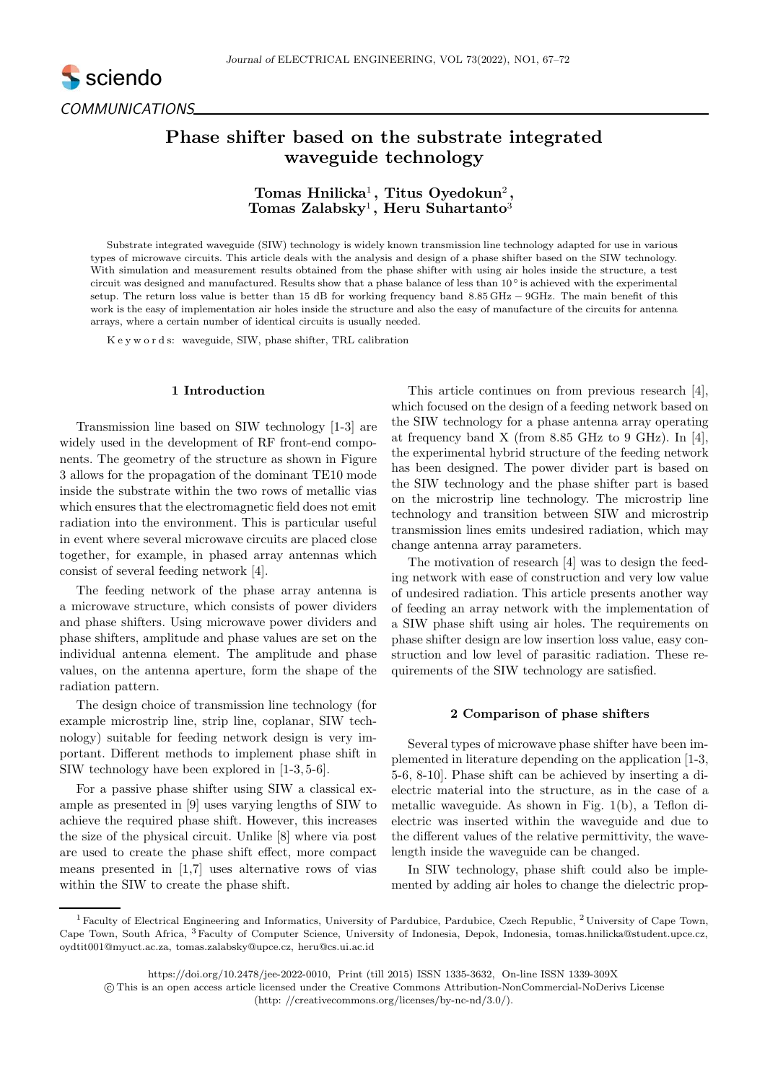# Phase shifter based on the substrate integrated waveguide technology

## $T$ omas Hnilicka<sup>1</sup>, Titus Oyedokun<sup>2</sup>, Tomas Zalabsky<sup>1</sup>, Heru Suhartanto<sup>3</sup>

Substrate integrated waveguide (SIW) technology is widely known transmission line technology adapted for use in various types of microwave circuits. This article deals with the analysis and design of a phase shifter based on the SIW technology. With simulation and measurement results obtained from the phase shifter with using air holes inside the structure, a test circuit was designed and manufactured. Results show that a phase balance of less than 10◦ is achieved with the experimental setup. The return loss value is better than 15 dB for working frequency band 8.85 GHz − 9GHz. The main benefit of this work is the easy of implementation air holes inside the structure and also the easy of manufacture of the circuits for antenna arrays, where a certain number of identical circuits is usually needed.

K e y w o r d s: waveguide, SIW, phase shifter, TRL calibration

### 1 Introduction

Transmission line based on SIW technology [1-3] are widely used in the development of RF front-end components. The geometry of the structure as shown in Figure 3 allows for the propagation of the dominant TE10 mode inside the substrate within the two rows of metallic vias which ensures that the electromagnetic field does not emit radiation into the environment. This is particular useful in event where several microwave circuits are placed close together, for example, in phased array antennas which consist of several feeding network [4].

The feeding network of the phase array antenna is a microwave structure, which consists of power dividers and phase shifters. Using microwave power dividers and phase shifters, amplitude and phase values are set on the individual antenna element. The amplitude and phase values, on the antenna aperture, form the shape of the radiation pattern.

The design choice of transmission line technology (for example microstrip line, strip line, coplanar, SIW technology) suitable for feeding network design is very important. Different methods to implement phase shift in SIW technology have been explored in [1-3, 5-6].

For a passive phase shifter using SIW a classical example as presented in [9] uses varying lengths of SIW to achieve the required phase shift. However, this increases the size of the physical circuit. Unlike [8] where via post are used to create the phase shift effect, more compact means presented in [1,7] uses alternative rows of vias within the SIW to create the phase shift.

This article continues on from previous research [4], which focused on the design of a feeding network based on the SIW technology for a phase antenna array operating at frequency band X (from 8.85 GHz to 9 GHz). In [4], the experimental hybrid structure of the feeding network has been designed. The power divider part is based on the SIW technology and the phase shifter part is based on the microstrip line technology. The microstrip line technology and transition between SIW and microstrip transmission lines emits undesired radiation, which may change antenna array parameters.

The motivation of research [4] was to design the feeding network with ease of construction and very low value of undesired radiation. This article presents another way of feeding an array network with the implementation of a SIW phase shift using air holes. The requirements on phase shifter design are low insertion loss value, easy construction and low level of parasitic radiation. These requirements of the SIW technology are satisfied.

#### 2 Comparison of phase shifters

Several types of microwave phase shifter have been implemented in literature depending on the application [1-3, 5-6, 8-10]. Phase shift can be achieved by inserting a dielectric material into the structure, as in the case of a metallic waveguide. As shown in Fig. 1(b), a Teflon dielectric was inserted within the waveguide and due to the different values of the relative permittivity, the wavelength inside the waveguide can be changed.

In SIW technology, phase shift could also be implemented by adding air holes to change the dielectric prop-

<sup>&</sup>lt;sup>1</sup> Faculty of Electrical Engineering and Informatics, University of Pardubice, Pardubice, Czech Republic, <sup>2</sup> University of Cape Town, Cape Town, South Africa, <sup>3</sup> Faculty of Computer Science, University of Indonesia, Depok, Indonesia, tomas.hnilicka@student.upce.cz, oydtit001@myuct.ac.za, tomas.zalabsky@upce.cz, heru@cs.ui.ac.id

https://doi.org/10.2478/jee-2022-0010, Print (till 2015) ISSN 1335-3632, On-line ISSN 1339-309X

c This is an open access article licensed under the Creative Commons Attribution-NonCommercial-NoDerivs License (http: //creativecommons.org/licenses/by-nc-nd/3.0/).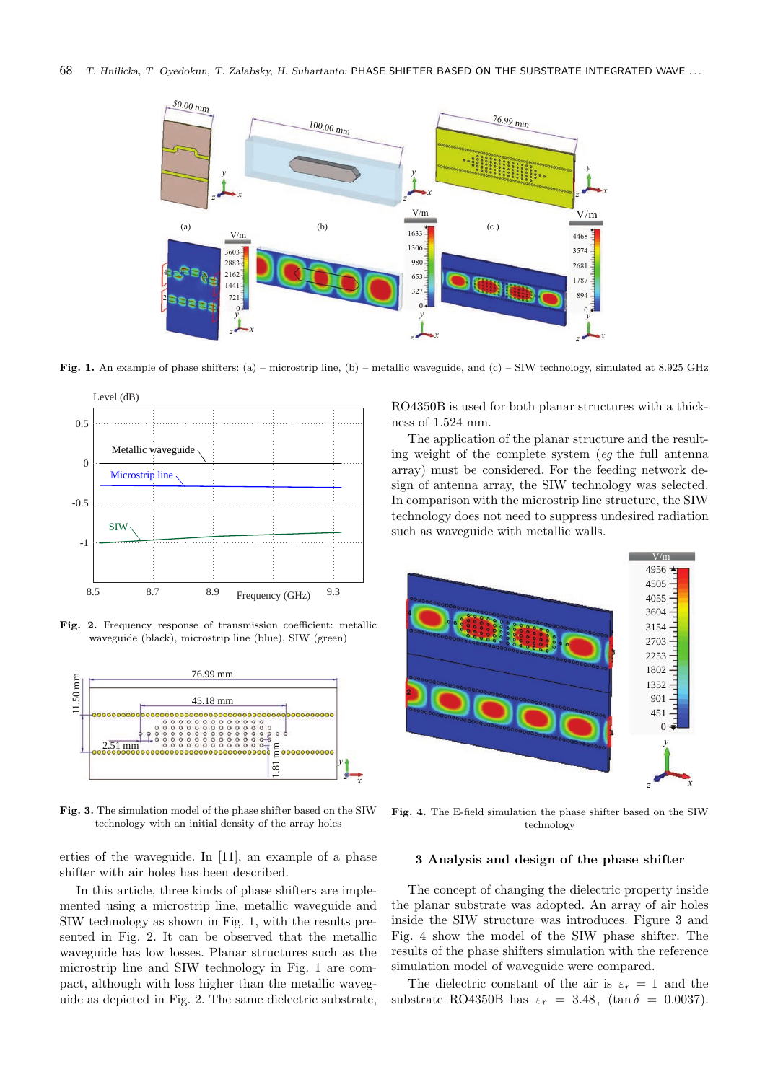

Fig. 1. An example of phase shifters: (a) – microstrip line, (b) – metallic waveguide, and (c) – SIW technology, simulated at 8.925 GHz



Fig. 2. Frequency response of transmission coefficient: metallic waveguide (black), microstrip line (blue), SIW (green)



Fig. 3. The simulation model of the phase shifter based on the SIW technology with an initial density of the array holes

erties of the waveguide. In [11], an example of a phase shifter with air holes has been described.

In this article, three kinds of phase shifters are implemented using a microstrip line, metallic waveguide and SIW technology as shown in Fig. 1, with the results presented in Fig. 2. It can be observed that the metallic waveguide has low losses. Planar structures such as the microstrip line and SIW technology in Fig. 1 are compact, although with loss higher than the metallic waveguide as depicted in Fig. 2. The same dielectric substrate, RO4350B is used for both planar structures with a thickness of 1.524 mm.

The application of the planar structure and the resulting weight of the complete system (eg the full antenna array) must be considered. For the feeding network design of antenna array, the SIW technology was selected. In comparison with the microstrip line structure, the SIW technology does not need to suppress undesired radiation such as waveguide with metallic walls.



Fig. 4. The E-field simulation the phase shifter based on the SIW technology

#### 3 Analysis and design of the phase shifter

The concept of changing the dielectric property inside the planar substrate was adopted. An array of air holes inside the SIW structure was introduces. Figure 3 and Fig. 4 show the model of the SIW phase shifter. The results of the phase shifters simulation with the reference simulation model of waveguide were compared.

The dielectric constant of the air is  $\varepsilon_r = 1$  and the substrate RO4350B has  $\varepsilon_r = 3.48$ , (tan  $\delta = 0.0037$ ).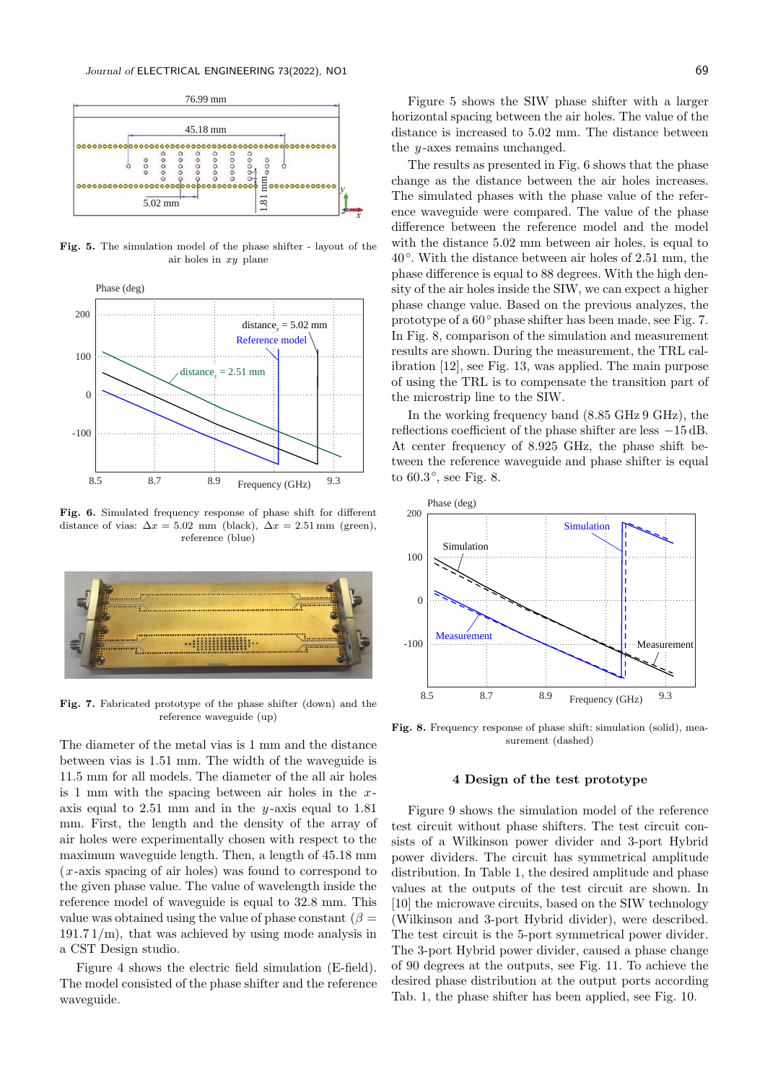

Fig. 5. The simulation model of the phase shifter - layout of the air holes in xy plane



Fig. 6. Simulated frequency response of phase shift for different distance of vias:  $\Delta x = 5.02$  mm (black),  $\Delta x = 2.51$  mm (green), reference (blue)



Fig. 7. Fabricated prototype of the phase shifter (down) and the reference waveguide (up)

The diameter of the metal vias is 1 mm and the distance between vias is 1.51 mm. The width of the waveguide is 11.5 mm for all models. The diameter of the all air holes is 1 mm with the spacing between air holes in the  $x$ axis equal to  $2.51$  mm and in the y-axis equal to  $1.81$ mm. First, the length and the density of the array of air holes were experimentally chosen with respect to the maximum waveguide length. Then, a length of 45.18 mm (x-axis spacing of air holes) was found to correspond to the given phase value. The value of wavelength inside the reference model of waveguide is equal to 32.8 mm. This value was obtained using the value of phase constant ( $\beta =$  $191.71/m$ , that was achieved by using mode analysis in a CST Design studio.

Figure 4 shows the electric field simulation (E-field). The model consisted of the phase shifter and the reference waveguide.

Figure 5 shows the SIW phase shifter with a larger horizontal spacing between the air holes. The value of the distance is increased to 5.02 mm. The distance between the  $y$ -axes remains unchanged.

The results as presented in Fig. 6 shows that the phase change as the distance between the air holes increases. The simulated phases with the phase value of the reference waveguide were compared. The value of the phase difference between the reference model and the model with the distance 5.02 mm between air holes, is equal to 40◦ . With the distance between air holes of 2.51 mm, the phase difference is equal to 88 degrees. With the high density of the air holes inside the SIW, we can expect a higher phase change value. Based on the previous analyzes, the prototype of a 60◦ phase shifter has been made, see Fig. 7. In Fig. 8, comparison of the simulation and measurement results are shown. During the measurement, the TRL calibration [12], see Fig. 13, was applied. The main purpose of using the TRL is to compensate the transition part of the microstrip line to the SIW.

In the working frequency band (8.85 GHz 9 GHz), the reflections coefficient of the phase shifter are less −15 dB. At center frequency of 8.925 GHz, the phase shift between the reference waveguide and phase shifter is equal to 60.3◦ , see Fig. 8.



Fig. 8. Frequency response of phase shift: simulation (solid), measurement (dashed)

#### 4 Design of the test prototype

Figure 9 shows the simulation model of the reference test circuit without phase shifters. The test circuit consists of a Wilkinson power divider and 3-port Hybrid power dividers. The circuit has symmetrical amplitude distribution. In Table 1, the desired amplitude and phase values at the outputs of the test circuit are shown. In [10] the microwave circuits, based on the SIW technology (Wilkinson and 3-port Hybrid divider), were described. The test circuit is the 5-port symmetrical power divider. The 3-port Hybrid power divider, caused a phase change of 90 degrees at the outputs, see Fig. 11. To achieve the desired phase distribution at the output ports according Tab. 1, the phase shifter has been applied, see Fig. 10.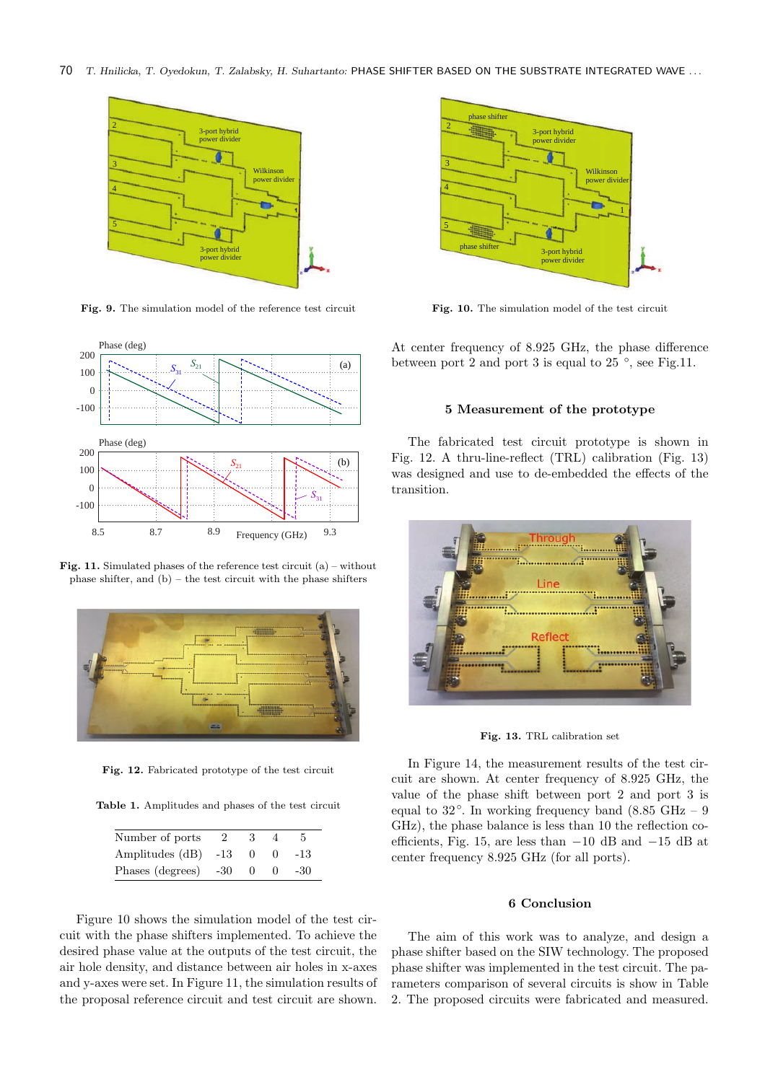70 *T. Hnilicka, T. Oyedokun, T. Zalabsky, H. Suhartanto:* PHASE SHIFTER BASED ON THE SUBSTRATE INTEGRATED WAVE . . .



Fig. 9. The simulation model of the reference test circuit



Fig. 11. Simulated phases of the reference test circuit (a) – without phase shifter, and (b) – the test circuit with the phase shifters



Fig. 12. Fabricated prototype of the test circuit

Table 1. Amplitudes and phases of the test circuit

| Number of ports      |       | з        |          | 5.  |
|----------------------|-------|----------|----------|-----|
| Amplitudes (dB)      | $-13$ | $\Omega$ | $^{(1)}$ | -13 |
| Phases (degrees) -30 |       | $\Omega$ | $^{(1)}$ | -30 |

Figure 10 shows the simulation model of the test circuit with the phase shifters implemented. To achieve the desired phase value at the outputs of the test circuit, the air hole density, and distance between air holes in x-axes and y-axes were set. In Figure 11, the simulation results of the proposal reference circuit and test circuit are shown.



Fig. 10. The simulation model of the test circuit

At center frequency of 8.925 GHz, the phase difference between port 2 and port 3 is equal to  $25^{\circ}$ , see Fig.11.

#### 5 Measurement of the prototype

The fabricated test circuit prototype is shown in Fig. 12. A thru-line-reflect (TRL) calibration (Fig. 13) was designed and use to de-embedded the effects of the transition.



Fig. 13. TRL calibration set

In Figure 14, the measurement results of the test circuit are shown. At center frequency of 8.925 GHz, the value of the phase shift between port 2 and port 3 is equal to 32<sup>°</sup>. In working frequency band (8.85 GHz − 9 GHz), the phase balance is less than 10 the reflection coefficients, Fig. 15, are less than −10 dB and −15 dB at center frequency 8.925 GHz (for all ports).

#### 6 Conclusion

The aim of this work was to analyze, and design a phase shifter based on the SIW technology. The proposed phase shifter was implemented in the test circuit. The parameters comparison of several circuits is show in Table 2. The proposed circuits were fabricated and measured.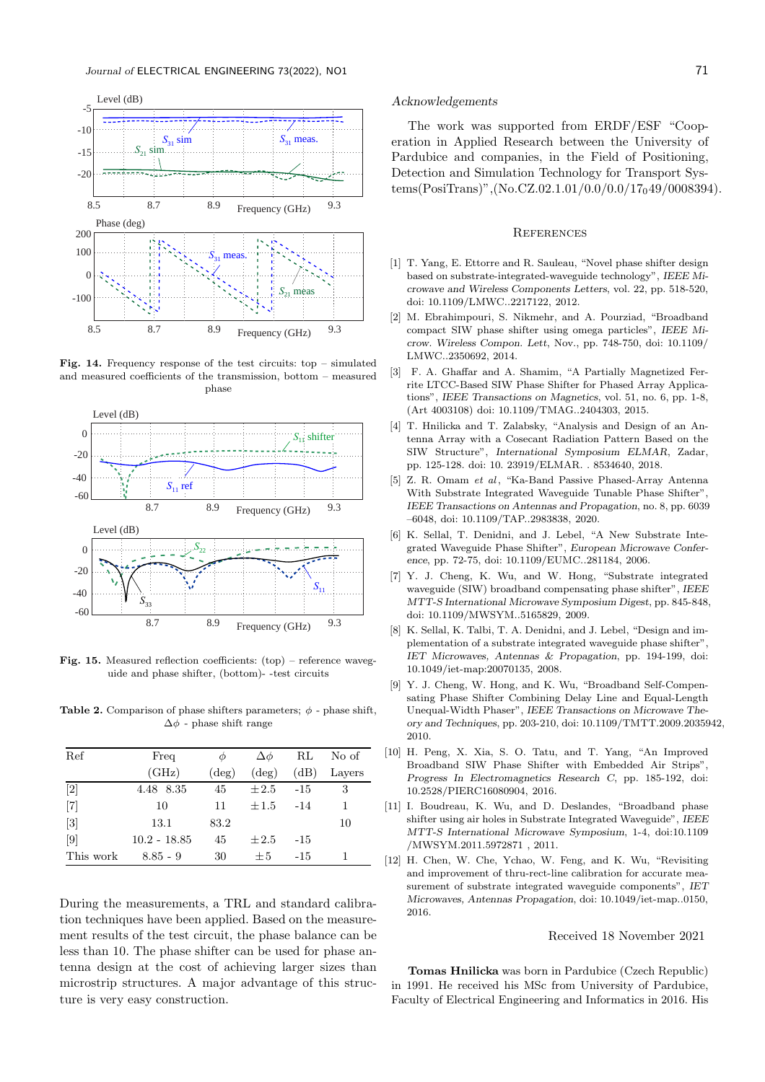

Fig. 14. Frequency response of the test circuits: top – simulated and measured coefficients of the transmission, bottom – measured phase



Fig. 15. Measured reflection coefficients: (top) – reference waveguide and phase shifter, (bottom)- -test circuits

Table 2. Comparison of phase shifters parameters;  $\phi$  - phase shift,  $\Delta \phi$  - phase shift range

| Ref               | Freq           | Φ              | $\Delta\phi$   | RL    | No of  |
|-------------------|----------------|----------------|----------------|-------|--------|
|                   | (GHz)          | $(\text{deg})$ | $(\text{deg})$ | (dB)  | Layers |
| $\lceil 2 \rceil$ | 4.48 8.35      | 45             | $\pm 2.5$      | $-15$ | 3      |
| $\lceil 7 \rceil$ | 10             | 11             | $\pm 1.5$      | $-14$ | 1      |
| $\lceil 3 \rceil$ | 13.1           | 83.2           |                |       | 10     |
| $\lceil 9 \rceil$ | $10.2 - 18.85$ | 45             | $\pm 2.5$      | $-15$ |        |
| This work         | $8.85 - 9$     | 30             | $+5$           | $-15$ |        |

During the measurements, a TRL and standard calibration techniques have been applied. Based on the measurement results of the test circuit, the phase balance can be less than 10. The phase shifter can be used for phase antenna design at the cost of achieving larger sizes than microstrip structures. A major advantage of this structure is very easy construction.

#### Acknowledgements

The work was supported from ERDF/ESF "Cooperation in Applied Research between the University of Pardubice and companies, in the Field of Positioning, Detection and Simulation Technology for Transport Systems(PosiTrans)",(No.CZ.02.1.01/0.0/0.0/17<sub>0</sub>49/0008394).

#### **REFERENCES**

- [1] T. Yang, E. Ettorre and R. Sauleau, "Novel phase shifter design based on substrate-integrated-waveguide technology", *IEEE Microwave and Wireless Components Letters*, vol. 22, pp. 518-520, doi: 10.1109/LMWC..2217122, 2012.
- [2] M. Ebrahimpouri, S. Nikmehr, and A. Pourziad, "Broadband compact SIW phase shifter using omega particles", *IEEE Microw. Wireless Compon. Lett*, Nov., pp. 748-750, doi: 10.1109/ LMWC..2350692, 2014.
- [3] F. A. Ghaffar and A. Shamim, "A Partially Magnetized Ferrite LTCC-Based SIW Phase Shifter for Phased Array Applications", *IEEE Transactions on Magnetics*, vol. 51, no. 6, pp. 1-8, (Art 4003108) doi: 10.1109/TMAG..2404303, 2015.
- [4] T. Hnilicka and T. Zalabsky, "Analysis and Design of an Antenna Array with a Cosecant Radiation Pattern Based on the SIW Structure", *International Symposium ELMAR*, Zadar, pp. 125-128. doi: 10. 23919/ELMAR. . 8534640, 2018.
- [5] Z. R. Omam et al, "Ka-Band Passive Phased-Array Antenna With Substrate Integrated Waveguide Tunable Phase Shifter", *IEEE Transactions on Antennas and Propagation*, no. 8, pp. 6039 –6048, doi: 10.1109/TAP..2983838, 2020.
- [6] K. Sellal, T. Denidni, and J. Lebel, "A New Substrate Integrated Waveguide Phase Shifter", *European Microwave Conference*, pp. 72-75, doi: 10.1109/EUMC..281184, 2006.
- [7] Y. J. Cheng, K. Wu, and W. Hong, "Substrate integrated waveguide (SIW) broadband compensating phase shifter", *IEEE MTT-S International Microwave Symposium Digest*, pp. 845-848, doi: 10.1109/MWSYM..5165829, 2009.
- [8] K. Sellal, K. Talbi, T. A. Denidni, and J. Lebel, "Design and implementation of a substrate integrated waveguide phase shifter", *IET Microwaves, Antennas & Propagation*, pp. 194-199, doi: 10.1049/iet-map:20070135, 2008.
- [9] Y. J. Cheng, W. Hong, and K. Wu, "Broadband Self-Compensating Phase Shifter Combining Delay Line and Equal-Length Unequal-Width Phaser", *IEEE Transactions on Microwave Theory and Techniques*, pp. 203-210, doi: 10.1109/TMTT.2009.2035942, 2010.
- [10] H. Peng, X. Xia, S. O. Tatu, and T. Yang, "An Improved Broadband SIW Phase Shifter with Embedded Air Strips", *Progress In Electromagnetics Research C*, pp. 185-192, doi: 10.2528/PIERC16080904, 2016.
- [11] I. Boudreau, K. Wu, and D. Deslandes, "Broadband phase shifter using air holes in Substrate Integrated Waveguide", *IEEE MTT-S International Microwave Symposium*, 1-4, doi:10.1109 /MWSYM.2011.5972871 , 2011.
- [12] H. Chen, W. Che, Ychao, W. Feng, and K. Wu, "Revisiting and improvement of thru-rect-line calibration for accurate measurement of substrate integrated waveguide components", *IET Microwaves, Antennas Propagation*, doi: 10.1049/iet-map..0150, 2016.

#### Received 18 November 2021

Tomas Hnilicka was born in Pardubice (Czech Republic) in 1991. He received his MSc from University of Pardubice, Faculty of Electrical Engineering and Informatics in 2016. His